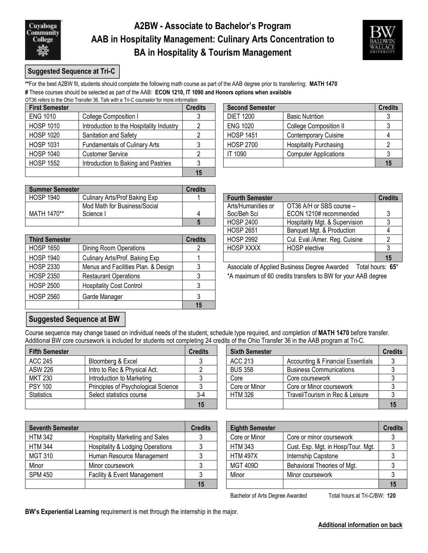

### **A2BW - Associate to Bachelor's Program AAB in Hospitality Management: Culinary Arts Concentration to BA in Hospitality & Tourism Management**



#### **Suggested Sequence at Tri-C**

**\*\***For the best A2BW fit, students should complete the following math course as part of the AAB degree prior to transferring: **MATH 1470 #** These courses should be selected as part of the AAB: **ECON 1210, IT 1090 and Honors options when available**

OT36 refers to the Ohio Transfer 36. Talk with a Tri-C counselor for more information

| <b>First Semester</b> |                                          | <b>Credits</b> | <b>Second Semester</b> | <b>Credits</b>                |    |
|-----------------------|------------------------------------------|----------------|------------------------|-------------------------------|----|
| <b>ENG 1010</b>       | College Composition I                    |                | <b>DIET 1200</b>       | <b>Basic Nutrition</b>        |    |
| <b>HOSP 1010</b>      | Introduction to the Hospitality Industry |                | <b>ENG 1020</b>        | <b>College Composition II</b> |    |
| <b>HOSP 1020</b>      | Sanitation and Safety                    |                | <b>HOSP 1451</b>       | <b>Contemporary Cuisine</b>   |    |
| <b>HOSP 1031</b>      | <b>Fundamentals of Culinary Arts</b>     |                | <b>HOSP 2700</b>       | <b>Hospitality Purchasing</b> |    |
| <b>HOSP 1040</b>      | <b>Customer Service</b>                  |                | IT 1090                | <b>Computer Applications</b>  |    |
| <b>HOSP 1552</b>      | Introduction to Baking and Pastries      |                |                        |                               | 15 |
|                       |                                          |                |                        |                               |    |

| <b>Summer Semester</b> |                               | Credits |                        |                                |         |
|------------------------|-------------------------------|---------|------------------------|--------------------------------|---------|
| <b>HOSP 1940</b>       | Culinary Arts/Prof Baking Exp |         | <b>Fourth Semester</b> |                                | Credits |
|                        | Mod Math for Business/Social  |         | Arts/Humanities or     | OT36 A/H or SBS course -       |         |
| MATH 1470**            | Science I                     |         | Soc/Beh Sci            | ECON 1210# recommended         |         |
|                        |                               |         | <b>HOSP 2400</b>       | Hospitality Mgt. & Supervision |         |

| <b>Third Semester</b> |                                     | <b>Credits</b> | <b>HOSP 2992</b> | Cul. Eval./Amer. Reg. Cuisine                                | າ  |
|-----------------------|-------------------------------------|----------------|------------------|--------------------------------------------------------------|----|
| <b>HOSP 1650</b>      | <b>Dining Room Operations</b>       |                | <b>HOSP XXXX</b> | <b>HOSP</b> elective                                         | 3  |
| <b>HOSP 1940</b>      | Culinary Arts/Prof. Baking Exp      |                |                  |                                                              | 15 |
| <b>HOSP 2330</b>      | Menus and Facilities Plan. & Design |                |                  | Associate of Applied Business Degree Awarded<br>Total hours: |    |
| <b>HOSP 2350</b>      | <b>Restaurant Operations</b>        |                |                  | *A maximum of 60 credits transfers to BW for your AAB degree |    |
| <b>HOSP 2500</b>      | <b>Hospitality Cost Control</b>     |                |                  |                                                              |    |
| <b>HOSP 2560</b>      | Garde Manager                       |                |                  |                                                              |    |
|                       |                                     | 15             |                  |                                                              |    |

| <b>Second Semester</b> |                               | <b>Credits</b> |
|------------------------|-------------------------------|----------------|
| <b>DIET 1200</b>       | <b>Basic Nutrition</b>        |                |
| <b>ENG 1020</b>        | <b>College Composition II</b> |                |
| <b>HOSP 1451</b>       | <b>Contemporary Cuisine</b>   |                |
| <b>HOSP 2700</b>       | <b>Hospitality Purchasing</b> |                |
| IT 1090                | <b>Computer Applications</b>  |                |
|                        |                               | 15             |

| ans.           |                        |                                |                |
|----------------|------------------------|--------------------------------|----------------|
|                | <b>Fourth Semester</b> |                                | <b>Credits</b> |
|                | Arts/Humanities or     | OT36 A/H or SBS course -       |                |
| 4              | Soc/Beh Sci            | ECON 1210# recommended         |                |
| 5              | <b>HOSP 2400</b>       | Hospitality Mgt. & Supervision |                |
|                | <b>HOSP 2651</b>       | Banquet Mgt. & Production      |                |
| dits           | <b>HOSP 2992</b>       | Cul. Eval./Amer. Reg. Cuisine  |                |
| $\overline{2}$ | <b>HOSP XXXX</b>       | <b>HOSP</b> elective           |                |
|                |                        |                                |                |

# **Suggested Sequence at BW**

Course sequence may change based on individual needs of the student, schedule type required, and completion of **MATH 1470** before transfer. Additional BW core coursework is included for students not completing 24 credits of the Ohio Transfer 36 in the AAB program at Tri-C.

| <b>Fifth Semester</b> |                                     | <b>Credits</b> | <b>Sixth Semester</b> |                                              | <b>Credits</b> |
|-----------------------|-------------------------------------|----------------|-----------------------|----------------------------------------------|----------------|
| ACC 245               | Bloomberg & Excel                   |                | ACC 213               | <b>Accounting &amp; Financial Essentials</b> |                |
| ASW 226               | Intro to Rec & Physical Act.        |                | <b>BUS 358</b>        | <b>Business Communications</b>               |                |
| MKT 230               | Introduction to Marketing           |                | Core                  | Core coursework                              |                |
| <b>PSY 100</b>        | Principles of Psychological Science |                | Core or Minor         | Core or Minor coursework                     |                |
| <b>Statistics</b>     | Select statistics course            | 3-4            | <b>HTM 326</b>        | Travel/Tourism in Rec & Leisure              |                |
|                       |                                     |                |                       |                                              |                |

| dits             | <b>Sixth Semester</b> |                                   | <b>Credits</b> |
|------------------|-----------------------|-----------------------------------|----------------|
| 3                | <b>ACC 213</b>        | Accounting & Financial Essentials |                |
| $\mathcal{P}$    | <b>BUS 358</b>        | <b>Business Communications</b>    |                |
| 3                | Core                  | Core coursework                   |                |
| 3                | Core or Minor         | Core or Minor coursework          |                |
| $\overline{3-4}$ | <b>HTM 326</b>        | Travel/Tourism in Rec & Leisure   |                |
| 15               |                       |                                   |                |

| <b>Seventh Semester</b> |                                             | <b>Credits</b> | <b>Eighth Semester</b> |                                    | Credits |
|-------------------------|---------------------------------------------|----------------|------------------------|------------------------------------|---------|
| <b>HTM 342</b>          | <b>Hospitality Marketing and Sales</b>      |                | Core or Minor          | Core or minor coursework           |         |
| <b>HTM 344</b>          | <b>Hospitality &amp; Lodging Operations</b> |                | <b>HTM 343</b>         | Cust. Exp. Mgt. in Hosp/Tour. Mgt. |         |
| <b>MGT 310</b>          | Human Resource Management                   |                | <b>HTM 497X</b>        | Internship Capstone                |         |
| Minor                   | Minor coursework                            |                | <b>MGT 409D</b>        | Behavioral Theories of Mgt.        |         |
| <b>SPM 450</b>          | Facility & Event Management                 |                | Minor                  | Minor coursework                   |         |
|                         |                                             | 15             |                        |                                    |         |

| edits | <b>Eighth Semester</b> |                                    | <b>Credits</b> |
|-------|------------------------|------------------------------------|----------------|
| 3     | Core or Minor          | Core or minor coursework           |                |
| 3     | <b>HTM 343</b>         | Cust. Exp. Mgt. in Hosp/Tour. Mgt. |                |
| 3     | <b>HTM 497X</b>        | Internship Capstone                |                |
| 3     | <b>MGT 409D</b>        | Behavioral Theories of Mgt.        |                |
| 3     | Minor                  | Minor coursework                   |                |
| 15    |                        |                                    |                |

Bachelor of Arts Degree Awarded Total hours at Tri-C/BW: 120

**BW's Experiential Learning** requirement is met through the internship in the major.